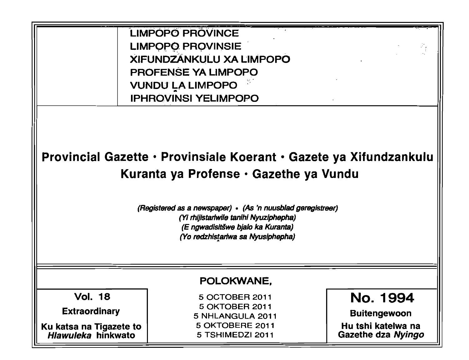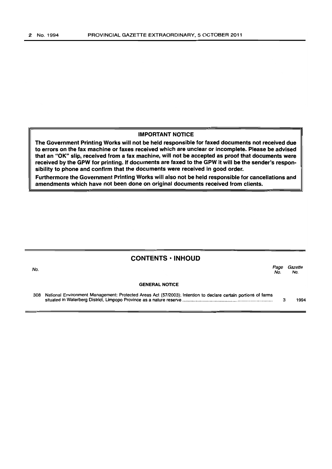#### IMPORTANT NOTICE

The Government Printing Works will not be held responsible for faxed documents not received due to errors on the fax machine or faxes received which are unclear or incomplete. Please be advised that an "OK" Slip, received from a fax machine, will not be accepted as proof that documents were received by the GPW for printing. If documents are faxed to the GPW it will be the sender's responsibility to phone and confirm that the documents were received in good order.

Furthermore the Government Printing Works will also not be held responsible for cancellations and amendments which have not been done on original documents received from clients.

# CONTENTS • INHOUD No. Page Gazette No. No. GENERAL NOTICE 308 National Environment Management: Protected Areas Act (5712003): Intention to declare certain portions of farms situated in Waterberg District, Limpopo Province as a nature reserve ....................................................................... .. 3 1994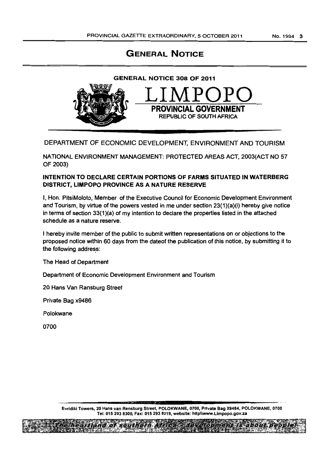# GENERAL NOTICE



### DEPARTMENT OF ECONOMIC DEVELOPMENT, ENVIRONMENT AND TOURISM

NATIONAL ENVIRONMENT MANAGEMENT: PROTECTED AREAS ACT, 2003(ACT NO 57 OF 2003}

### INTENTION TO DECLARE CERTAIN PORTIONS OF FARMS SITUATED IN WATERBERG DISTRICT, LIMPOPO PROVINCE AS A NATURE RESERVE

I, Hon. PitsiMoloto, Member of the Executive Council for Economic Development Environment and Tourism, by virtue of the powers vested in me under section 23(1}(a}(i) hereby give notice in terms of section 33{1}(a} of my intention to declare the properties listed in the attached schedule as a nature reserve.

I hereby invite member of the public to submit written representations on or objections to the proposed notice within 60 days from the dateof the publication of this notice, by submitting it to the following address:

The Head of Department

Department of Economic Development Environment and Tourism

20 Hans Van Ransburg Street

Private Bag x9486

Polokwane

0700

Evrldiki Towers, 20 Hans van Rensburg Street, POLOKWANE, 0700, Private Bag X9484, POLOKWANE, 0700 Tel: 015 293 8300, Fax: 0152938319, website: http\\www.Llmpopo.gov.za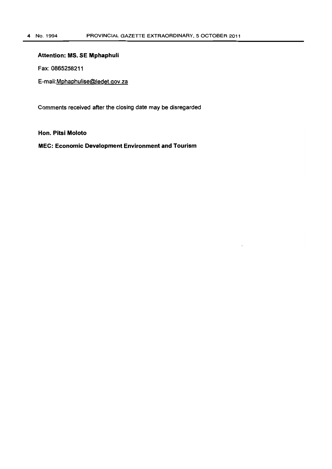### **Attention: MS. SE Mphaphuli**

Fax: 0865258211

E-mail:Mphaphulise@ledet.gov.za

Comments received after the closing date may be disregarded

**Hon. Pitsi Moloto** 

**MEC: Economic Development Environment and Tourism**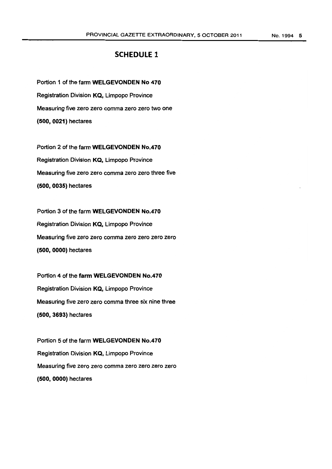## SCHEDULE 1

Portion 1 of the farm WELGEVONDEN No 470 Registration Division KQ, Limpopo Province Measuring five zero zero comma zero zero two one (500, 0021) hectares

Portion 2 of the farm WELGEVONDEN No.470 Registration Division KQ, Limpopo Province Measuring five zero zero comma zero zero three five (500,0035) hectares

Portion 3 of the farm WELGEVONDEN No.470 Registration Division KQ, Limpopo Province Measuring five zero zero comma zero zero zero zero (500,0000) hectares

Portion 4 of the farm WELGEVONDEN No.470 Registration Division KQ, Limpopo Province Measuring five zero zero comma three six nine three (500,3693) hectares

Portion 5 of the farm WELGEVONDEN No.470 Registration Division KQ, Limpopo Province Measuring five zero zero comma zero zero zero zero (500,0000) hectares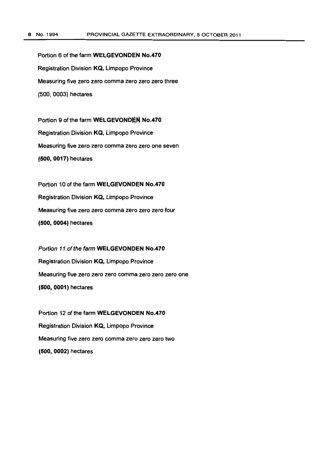Portion 6 of the farm WELGEVONDEN No.470 Registration Division KQ, Limpopo Province Measuring five zero zero comma zero zero zero three (500,0003) hectares

Portion 9 of the farm WELGEVONDEN No.470 Registration Division KQ, Limpopo Province Measuring five zero zero comma zero zero one seven (500,0017) hectares

Portion 10 of the farm WELGEVONDEN No.470 Registration Division KQ, Limpopo Province Measuring five zero zero comma zero zero zero four (500,0004) hectares

Portion 11 of the farm WELGEVONDEN No.470 Registration Division KQ, Limpopo Province Measuring five zero zero zero comma zero zero zero one (500,0001) hectares

Portion 12 of the farm WELGEVONDEN No.470 Registration Division KQ, Limpopo Province Measuring five zero zero comma zero zero zero two (500,0002) hectares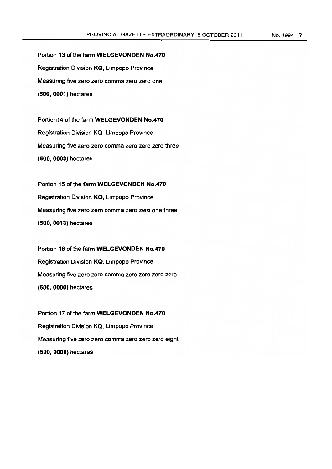Portion 13 of the farm WELGEVONDEN No.470 Registration Division KQ, Limpopo Province Measuring five zero zero comma zero zero one (500, 0001) hectares

Portion14 of the farm WELGEVONDEN No.470 Registration Division KQ. Limpopo Province Measuring five zero zero comma zero zero zero three (500,0003) hectares

Portion 15 of the farm WELGEVONDEN No.470 Registration Division KQ, Limpopo Province Measuring five zero zero comma zero zero one three (500,0013) hectares

Portion 16 of the farm WELGEVONDEN No.470 Registration Division KQ, Limpopo Province Measuring five zero zero comma zero zero zero zero (500,0000) hectares

Portion 17 of the farm WELGEVONDEN No.470 Registration Division KQ. Limpopo Province Measuring five zero zero comma zero zero zero eight (500,0008) hectares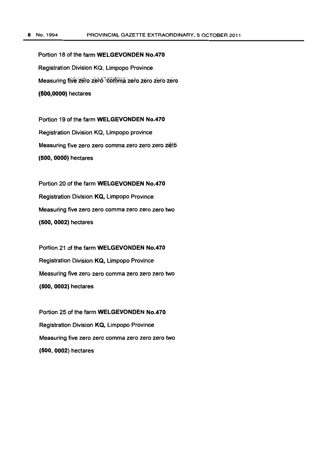Portion 18 of the farm WELGEVONDEN No.470 Registration Division KQ, Limpopo Province Measuring five zero zero comma zero zero zero zero (600;0000) hectares

Portion 19 of the farm WELGEVONDEN No.470 Registration Division KQ, Limpopo province Measuring five zero zero comma zero zero zero zero (500, OOOO) hectares

Portion 20 of the farm WELGEVONDEN No.470 Registration Division KQ, Limpopo Province Measuring five zero zero comma zero zero zero two (500, 0002) hectares

Portion 21 of the farm WELGEVONDEN No.470 Registration Division KQ, Limpopo Province Measuring five zero zero comma zero zero zero two (500,0002) hectares

Portion 25 of the farm WELGEVONDEN No.470 Registration Division KQ, Limpopo Province Measuring five zero zero comma zero zero zero two (500,0002) hectares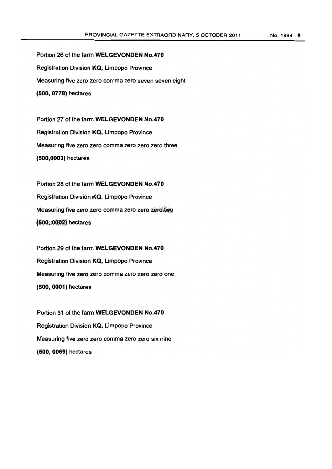Portion 26 of the farm WELGEVONDEN No.470 Registration Division KQ, Limpopo Province Measuring five zero zero comma zero seven seven eight (600,0778) hectares

Portion 27 of the farm WELGEVONDEN No.470 Registration Division KQ, Limpopo Province Measuring five zero zero comma zero zero zero three (600,0003) hectares

Portion 28 of the farm WELGEVONDEN No.470 Registration Division KQ, Limpopo Province Measuring five zero zero comma zero zero zero two (500, 0002) hectares

Portion 29 of the farm WELGEVONDEN No.470 Registration Division KQ, Limpopo Province Measuring five zero zero comma zero zero zero one (600,0001) hectares

Portion 31 of the farm WELGEVONDEN No.470 Registration Division KQ, Limpopo Province Measuring five zero zero comma zero zero six nine (600, 0069) hectares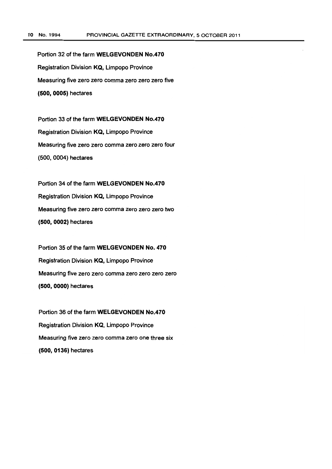Portion 32 of the farm WELGEVONDEN No.470 Registration Division KQ, Limpopo Province Measuring five zero zero comma zero zero zero five (500,0005) hectares

Portion 33 of the farm WELGEVONDEN No.470 Registration Division KQ, Limpopo Province Measuring five zero zero comma zero zero zero four (500,0004) hectares

Portion 34 of the farm WELGEVONDEN No.470 Registration Division KQ, Limpopo Province Measuring five zero zero comma zero zero zero two (500,0002) hectares

Portion 35 of the farm WELGEVONDEN No. 470 Registration Division KQ, Limpopo Province Measuring five zero zero comma zero zero zero zero (500,0000) hectares

Portion 36 of the farm WELGEVONDEN No.470 Registration Division KQ, Limpopo Province Measuring five zero zero comma zero one three six (500,0136) hectares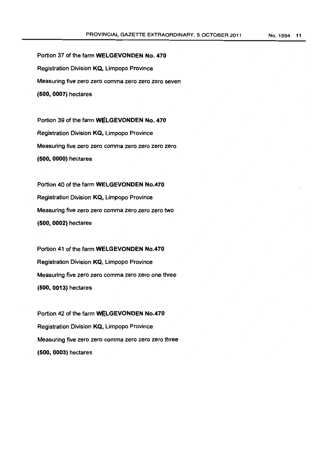Portion 37 of the farm WELGEVONDEN No. 470 Registration Division KQ, Limpopo Province Measuring five zero zero comma zero zero zero seven (500, 0007) hectares

Portion 39 of the farm WELGEVONDEN No. 470 Registration Division KQ, Limpopo Province Measuring five zero zero comma zero zero zero zero (500,0000) hectares

Portion 40 of the farm WELGEVONDEN No.470 Registration Division KQ, Limpopo Province Measuring five zero zero comma zero zero zero two (500, 0002) hectares

Portion 41 of the farm WELGEVONDEN No.470 Registration Division KQ, Limpopo Province Measuring five zero zero comma zero zero one three (500,0013) hectares

Portion 42 of the farm WELGEVONDEN No.470 Registration Division KQ, Limpopo Province Measuring five zero zero comma zero zero zero three (500,0003) hectares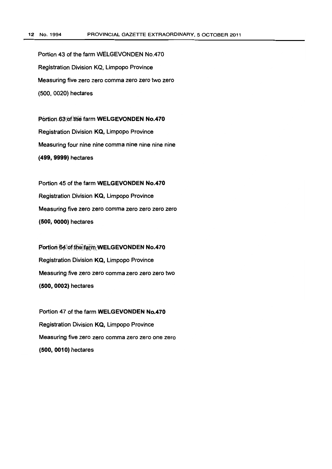Portion 43 of the farm wELGEVONDEN No.470 Registration Division KQ. Limpopo Province Measuring five zero zero comma zero zero two zero (500. 0020) hectares

Portion 63 of the farm WELGEVONDEN No.470 Registration Division KQ, Limpopo Province Measuring four nine nine comma nine nine nine nine (499,9999) hectares

Portion 45 of the farm WELGEVONDEN No.470 Registration Division KQ, Limpopo Province Measuring five zero zero comma zero zero zero zero (500,0000) hectares

Portion 64 of the farm WELGEVONDEN No.470 Registration Division KQ, Limpopo Province Measuring five zero zero comma zero zero zero two (500,0002) hectares

Portion 47 of the farm WELGEVONDEN No.470 Registration Division KQ, Limpopo Province Measuring five zero zero comma zero zero one zero (500,0010) hectares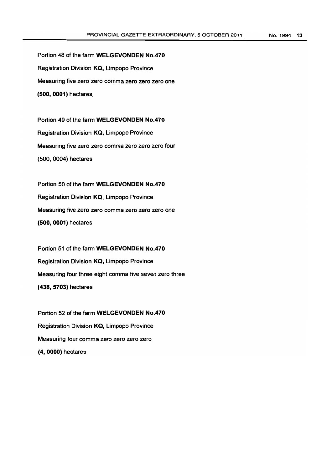Portion 48 of the farm WELGEVONDEN No.470 Registration Division **KQ,** Limpopo Province Measuring five zero zero comma zero zero zero one (500, 0001) hectares

Portion 49 of the farm WELGEVONDEN No.470 Registration Division KQ, Limpopo Province Measuring five zero zero comma zero zero zero four (500.0004) hectares

Portion 50 of the farm WELGEVONDEN No.470 Registration Division KQ, Limpopo Province Measuring five zero zero comma zero zero zero one (500, 0001) hectares

Portion 51 of the farm WELGEVONDEN No.470 Registration Division KQ, Limpopo Province Measuring four three eight comma five seven zero three (438,5703) hectares

Portion 52 of the farm WELGEVONDEN No.470 Registration Division KQ, Limpopo Province Measuring four comma zero zero zero zero (4,0000) hectares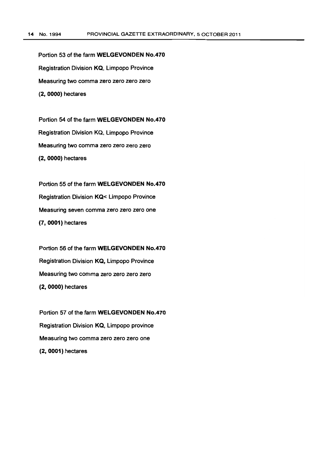Portion 53 of the farm WELGEVONDEN No.470 Registration Division KQ, Limpopo Province Measuring two comma zero zero zero zero (2, 0000) hectares

Portion 54 of the farm WELGEVONDEN No.470 Registration Division KQ, Limpopo Province Measuring two comma zero zero zero zero (2, 0000) hectares

Portion 55 of the farm WELGEVONDEN No.470 Registration Division KQ< Limpopo Province Measuring seven comma zero zero zero one (7, 0001) hectares

Portion 56 of the farm WELGEVONDEN No.470 Registration Division KQ, Limpopo Province Measuring two comma zero zero zero zero (2, 0000) hectares

Portion 57 of the farm WELGEVONDEN No.470 Registration Division KQ, Limpopo province Measuring two comma zero zero zero one (2,0001) hectares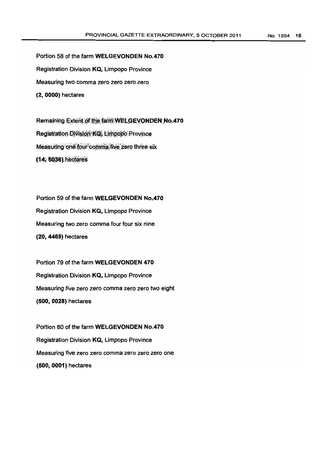Portion 58 of the farm WELGEVONDEN No.470 Registration Division KQ, Limpopo Province Measuring two comma zero zero zero zero (2,0000) hectares

Remaining Extent of the farm WELGEVONDEN No.470 Registration Division KQ, Limpopo Province Measuring one four comma five zero three six (14, 5036).hectares

Portion 59 of the farm WELGEVONDEN No.470 Registration Division KQ, Limpopo Province Measuring two zero comma four four six nine (20,4469) hectares

Portion 79 of the farm WELGEVONDEN 470 Registration Division KQ, Limpopo Province Measuring five zero zero comma zero zero two eight (500,0028) hectares

Portion 80 of the farm WELGEVONDEN No.470 Registration Division KQ, Limpopo Province Measuring five zero zero comma zero zero zero one (500, 0001) hectares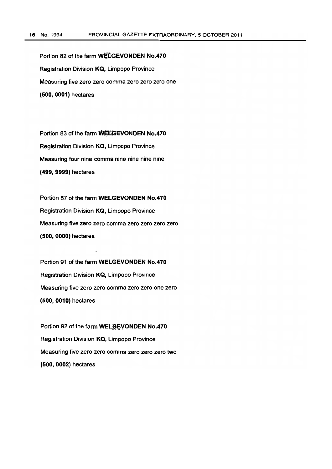Portion 82 of the farm WELGEVONDEN No.470 Registration Division KQ, Limpopo Province Measuring five zero zero comma zero zero zero one (500,0001) hectares

Portion 83 of the farm WELGEVONDEN No.470 Registration Division KQ, Limpopo Province Measuring four nine comma nine nine nine nine (499,9999) hectares

Portion 87 of the farm WELGEVONDEN No.470 Registration Division KQ, Limpopo Province Measuring five zero zero comma zero zero zero zero (500,0000) hectares

Portion 91 of the farm WELGEVONDEN No.470 Registration Division KQ, Limpopo Province Measuring five zero zero comma zero zero one zero (500,0010) hectares

Portion 92 of the farm WELGEVONDEN No.470 Registration Division KQ, Limpopo Province Measuring five zero zero comma zero zero zero two (500, 0002) hectares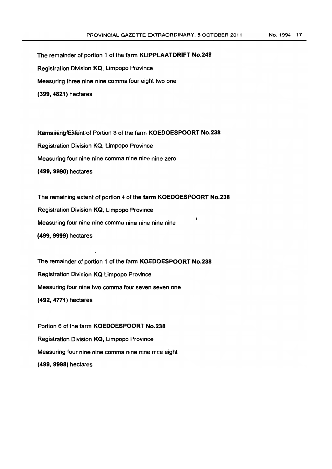The remainder of portion 1 of the farm KLiPPLAATDRIFT No.248 Registration Division KQ, Limpopo Province Measuring three nine nine comma four eight two one (399, 4821) hectares

Remaining Extent of Portion 3 of the farm KOEDOESPOORT No.238 Registration Division KQ, Limpopo Province Measuring four nine nine comma nine nine nine zero (499, 9990) hectares

The remaining extent of portion 4 of the farm KOEDOESPOORT No.238 Registration Division KQ, Limpopo Province Measuring four nine nine comma nine nine nine nine (499,9999) hectares

The remainder of portion 1 of the farm KOEDOESPOORT No.238 Registration Division KQ Limpopo Province Measuring four nine two comma four seven seven one (492,4771) hectares

Portion 6 of the farm KOEDOESPOORT No.238 Registration Division KQ, Limpopo Province Measuring four nine nine comma nine nine nine eight (499,9998) hectares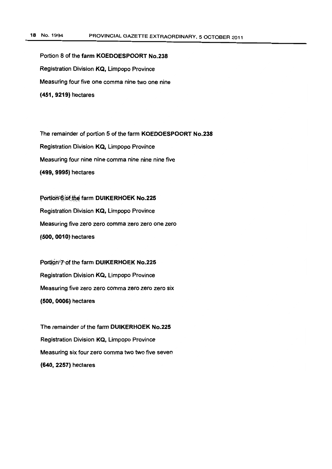Portion 8 of the farm KOEDOESPOORT No.238 Registration Division KQ, Limpopo Province Measuring four five one comma nine two one nine (451,9219) hectares

The remainder of portion 5 of the farm KOEDOESPOORT No.238 Registration Division KQ, Limpopo Province Measuring four nine nine comma nine nine nine five (499, 9995) hectares

Portion 6 of the farm DUIKERHOEK No.225 Registration Division KQ, Limpopo Province Measuring five zero zero comma zero zero one zero (500,0010) hectares

Portion<sup>®</sup>? of the farm DUIKERHOEK No.225 Registration Division KQ, Limpopo Province Measuring five zero zero comma zero zero zero six (500,0006) hectares

The remainder of the farm DUIKERHOEK No.225 Registration Division KQ, Limpopo Province Measuring six four zero comma two two five seven (640, 2257) hectares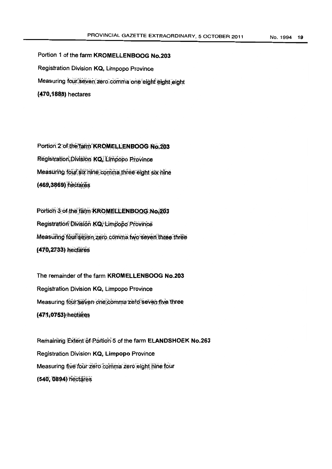Portion 1 of the farm KROMELLENBOOG No.203 Registration Division KQ, Limpopo Province Measuring four seven zero comma one eight eight eight (470,1888) hectares

Portion:2:of;the\*farm'KROMELLENBOOG No.203 Registration; Division KQ, Limpopo Province Measuring four six hine comma three-eight six nine (469,3869) hectares

Portion:3.of-the farm KROMELLENBOOG.No.203 Registration División KQ, Limpopo Province Measuring four seven zero comma two seven three three (470,2733) hectares

The remainder of the farm KROMELLENBOOG No.203 Registration Division KQ, Limpopo Province Measuring four seven one comma zero seven five three (471,0753) hectares

Remaining Extent of Portion<sup>5</sup>5 of the farm ELANDSHOEK No.263 Registration Division KQ, Limpopo Province Measuring five four zero comma zero eight nine four (540, 0894) hectares